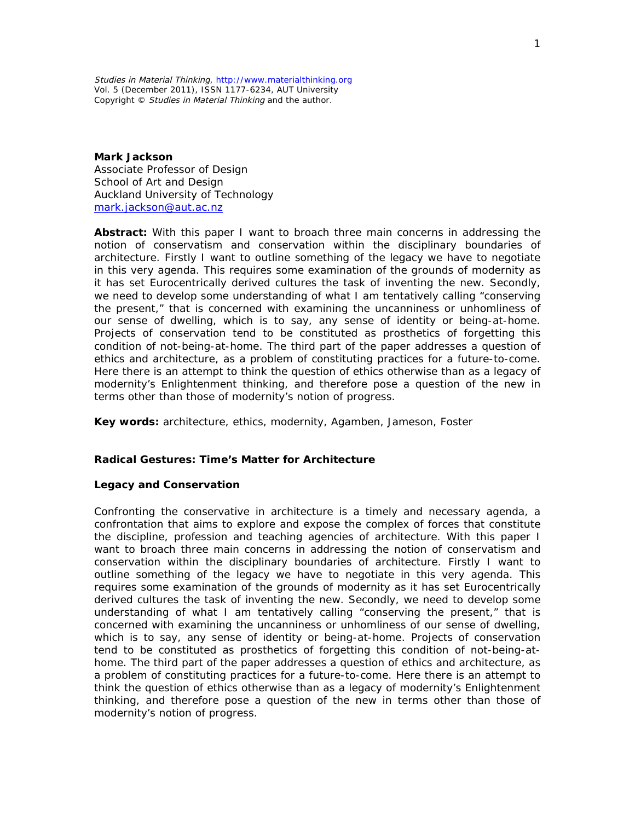*Studies in Material Thinking, http://www.materialthinking.org Vol. 5 (December 2011), ISSN 1177-6234, AUT University Copyright © Studies in Material Thinking and the author.*

**Mark Jackson** Associate Professor of Design School of Art and Design Auckland University of Technology mark.jackson@aut.ac.nz

**Abstract:** With this paper I want to broach three main concerns in addressing the notion of conservatism and conservation within the disciplinary boundaries of architecture. Firstly I want to outline something of the legacy we have to negotiate in this very agenda. This requires some examination of the grounds of modernity as it has set Eurocentrically derived cultures the task of inventing the new. Secondly, we need to develop some understanding of what I am tentatively calling "conserving the present," that is concerned with examining the uncanniness or unhomliness of our sense of dwelling, which is to say, any sense of identity or being-at-home. Projects of conservation tend to be constituted as prosthetics of forgetting this condition of not-being-at-home. The third part of the paper addresses a question of ethics and architecture, as a problem of constituting practices for a future-to-come. Here there is an attempt to think the question of ethics otherwise than as a legacy of modernity's Enlightenment thinking, and therefore pose a question of the new in terms other than those of modernity's notion of progress.

**Key words:** architecture, ethics, modernity, Agamben, Jameson, Foster

**Radical Gestures: Time's Matter for Architecture**

**Legacy and Conservation**

Confronting the conservative in architecture is a timely and necessary agenda, a confrontation that aims to explore and expose the complex of forces that constitute the discipline, profession and teaching agencies of architecture. With this paper I want to broach three main concerns in addressing the notion of conservatism and conservation within the disciplinary boundaries of architecture. Firstly I want to outline something of the legacy we have to negotiate in this very agenda. This requires some examination of the grounds of modernity as it has set Eurocentrically derived cultures the task of inventing the new. Secondly, we need to develop some understanding of what I am tentatively calling "conserving the present," that is concerned with examining the uncanniness or unhomliness of our sense of dwelling, which is to say, any sense of identity or being-at-home. Projects of conservation tend to be constituted as prosthetics of forgetting this condition of not-being-athome. The third part of the paper addresses a question of ethics and architecture, as a problem of constituting practices for a future-to-come. Here there is an attempt to think the question of ethics otherwise than as a legacy of modernity's Enlightenment thinking, and therefore pose a question of the new in terms other than those of modernity's notion of progress.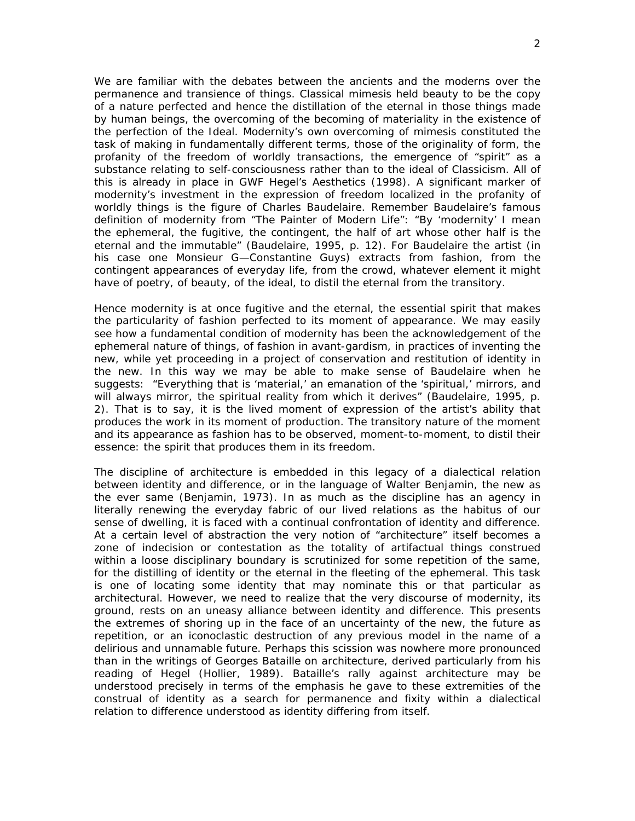We are familiar with the debates between the ancients and the moderns over the permanence and transience of things. Classical mimesis held beauty to be the copy of a nature perfected and hence the distillation of the eternal in those things made by human beings, the overcoming of the becoming of materiality in the existence of the perfection of the Ideal. Modernity's own overcoming of mimesis constituted the task of making in fundamentally different terms, those of the originality of form, the profanity of the freedom of worldly transactions, the emergence of "spirit" as a substance relating to self-consciousness rather than to the ideal of Classicism. All of this is already in place in GWF Hegel's *Aesthetics* (1998). A significant marker of modernity's investment in the expression of freedom localized in the profanity of worldly things is the figure of Charles Baudelaire. Remember Baudelaire's famous definition of modernity from "The Painter of Modern Life": "By 'modernity' I mean the ephemeral, the fugitive, the contingent, the half of art whose other half is the eternal and the immutable" (Baudelaire, 1995, p. 12). For Baudelaire the artist (in his case one Monsieur G—Constantine Guys) extracts from fashion, from the contingent appearances of everyday life, from the crowd, whatever element it might have of poetry, of beauty, of the ideal, to distil the eternal from the transitory.

Hence modernity is at once fugitive and the eternal, the essential spirit that makes the particularity of fashion perfected to its moment of appearance. We may easily see how a fundamental condition of modernity has been the acknowledgement of the ephemeral nature of things, of fashion in avant-gardism, in practices of inventing the new, while yet proceeding in a project of conservation and restitution of identity in the new. In this way we may be able to make sense of Baudelaire when he suggests: "Everything that is 'material,' an emanation of the 'spiritual,' mirrors, and will always mirror, the spiritual reality from which it derives" (Baudelaire, 1995, p. 2). That is to say, it is the lived moment of expression of the artist's ability that produces the work in its moment of production. The transitory nature of the moment and its appearance as fashion has to be observed, moment-to-moment, to distil their essence: the spirit that produces them in its freedom.

The discipline of architecture is embedded in this legacy of a dialectical relation between identity and difference, or in the language of Walter Benjamin, the new as the ever same (Benjamin, 1973). In as much as the discipline has an agency in literally renewing the everyday fabric of our lived relations as the *habitus* of our sense of dwelling, it is faced with a continual confrontation of identity and difference. At a certain level of abstraction the very notion of "architecture" itself becomes a zone of indecision or contestation as the totality of artifactual things construed within a loose disciplinary boundary is scrutinized for some repetition of the same, for the distilling of identity or the eternal in the fleeting of the ephemeral. This task is one of locating some identity that may nominate this or that particular as architectural. However, we need to realize that the very discourse of modernity, its ground, rests on an uneasy alliance between identity and difference. This presents the extremes of shoring up in the face of an uncertainty of the new, the future as repetition, or an iconoclastic destruction of any previous model in the name of a delirious and unnamable future. Perhaps this scission was nowhere more pronounced than in the writings of Georges Bataille on architecture, derived particularly from his reading of Hegel (Hollier, 1989). Bataille's rally against architecture may be understood precisely in terms of the emphasis he gave to these extremities of the construal of identity as a search for permanence and fixity within a dialectical relation to difference understood as identity differing from itself.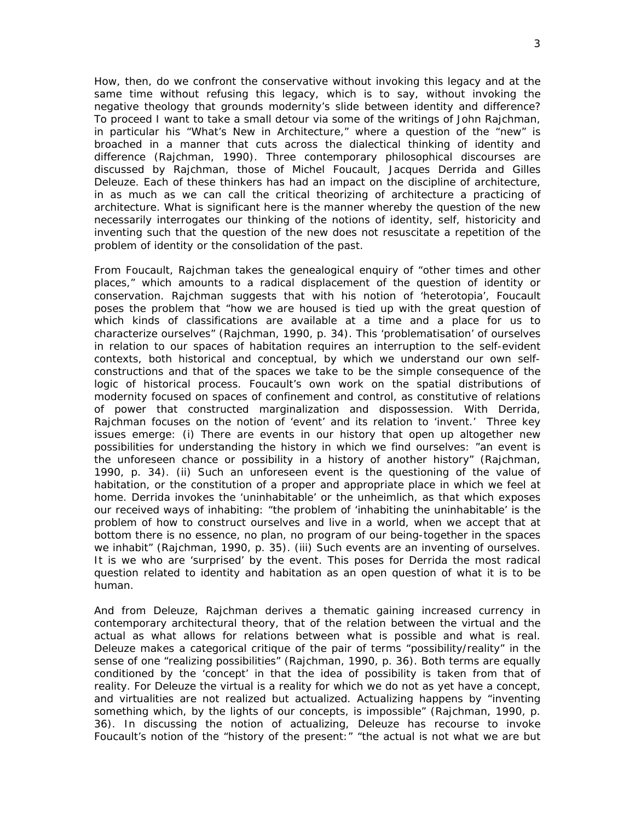How, then, do we confront the conservative without invoking this legacy and at the same time without refusing this legacy, which is to say, without invoking the negative theology that grounds modernity's slide between identity and difference? To proceed I want to take a small detour via some of the writings of John Rajchman, in particular his "What's New in Architecture," where a question of the "new" is broached in a manner that cuts across the dialectical thinking of identity and difference (Rajchman, 1990). Three contemporary philosophical discourses are discussed by Rajchman, those of Michel Foucault, Jacques Derrida and Gilles Deleuze. Each of these thinkers has had an impact on the discipline of architecture, in as much as we can call the critical theorizing of architecture a practicing of architecture. What is significant here is the manner whereby the question of the new necessarily interrogates our thinking of the notions of identity, self, historicity and inventing such that the question of the new does not resuscitate a repetition of the problem of identity or the consolidation of the past.

From Foucault, Rajchman takes the genealogical enquiry of "other times and other places," which amounts to a radical displacement of the question of identity or conservation. Rajchman suggests that with his notion of 'heterotopia', Foucault poses the problem that "how we are housed is tied up with the great question of which kinds of classifications are available at a time and a place for us to characterize ourselves" (Rajchman, 1990, p. 34). This 'problematisation' of ourselves in relation to our spaces of habitation requires an interruption to the self-evident contexts, both historical and conceptual, by which we understand our own selfconstructions and that of the spaces we take to be the simple consequence of the logic of historical process. Foucault's own work on the spatial distributions of modernity focused on spaces of confinement and control, as constitutive of relations of power that constructed marginalization and dispossession. With Derrida, Rajchman focuses on the notion of 'event' and its relation to 'invent.' Three key issues emerge: (i) There are events in our history that open up altogether new possibilities for understanding the history in which we find ourselves: "an event is the unforeseen chance or possibility in a history of another history" (Rajchman, 1990, p. 34). (ii) Such an unforeseen event is the questioning of the value of habitation, or the constitution of a proper and appropriate place in which we feel at home. Derrida invokes the 'uninhabitable' or the *unheimlich*, as that which exposes our received ways of inhabiting: "the problem of 'inhabiting the uninhabitable' is the problem of how to construct ourselves and live in a world, when we accept that at bottom there is no essence, no plan, no program of our being-together in the spaces we inhabit" (Rajchman, 1990, p. 35). (iii) Such events are an inventing of ourselves. It is we who are 'surprised' by the event. This poses for Derrida the most radical question related to identity and habitation as an open question of what it is to be human.

And from Deleuze, Rajchman derives a thematic gaining increased currency in contemporary architectural theory, that of the relation between the virtual and the actual as what allows for relations between what is possible and what is real. Deleuze makes a categorical critique of the pair of terms "possibility/reality" in the sense of one "realizing possibilities" (Rajchman, 1990, p. 36). Both terms are equally conditioned by the 'concept' in that the idea of possibility is taken from that of reality. For Deleuze the virtual is a reality for which we do not as yet have a concept, and virtualities are not realized but actualized. Actualizing happens by "inventing something which, by the lights of our concepts, is impossible" (Rajchman, 1990, p. 36). In discussing the notion of actualizing, Deleuze has recourse to invoke Foucault's notion of the "history of the present:" "the actual is not what we are but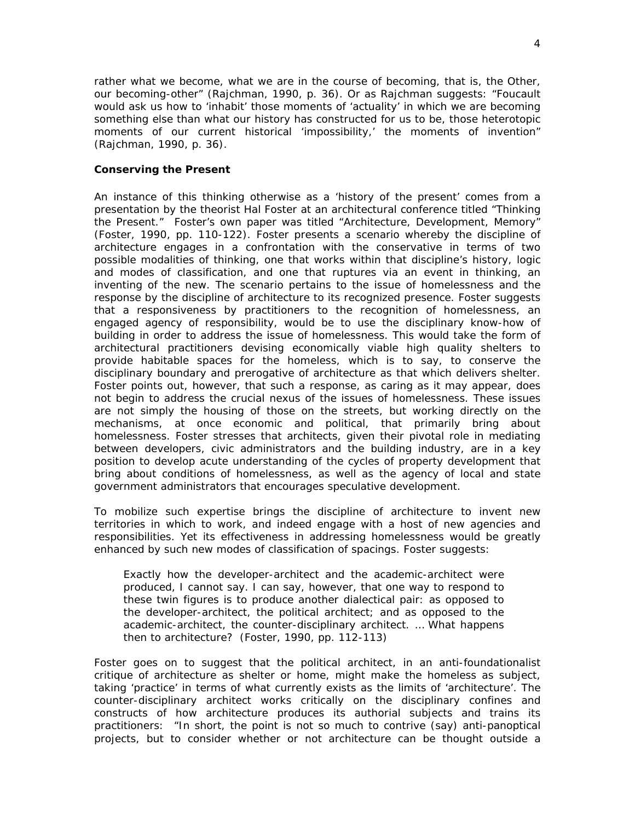rather what we become, what we are in the course of becoming, that is, the Other, our becoming-other" (Rajchman, 1990, p. 36). Or as Rajchman suggests: "Foucault would ask us how to 'inhabit' those moments of 'actuality' in which we are becoming something else than what our history has constructed for us to be, those heterotopic moments of our current historical 'impossibility,' the moments of invention" (Rajchman, 1990, p. 36).

## **Conserving the Present**

An instance of this thinking otherwise as a 'history of the present' comes from a presentation by the theorist Hal Foster at an architectural conference titled "Thinking the Present." Foster's own paper was titled "Architecture, Development, Memory" (Foster, 1990, pp. 110-122). Foster presents a scenario whereby the discipline of architecture engages in a confrontation with the conservative in terms of two possible modalities of thinking, one that works within that discipline's history, logic and modes of classification, and one that ruptures via an event in thinking, an inventing of the new. The scenario pertains to the issue of homelessness and the response by the discipline of architecture to its recognized presence. Foster suggests that a responsiveness by practitioners to the recognition of homelessness, an engaged agency of responsibility, would be to use the disciplinary know-how of building in order to address the issue of homelessness. This would take the form of architectural practitioners devising economically viable high quality shelters to provide habitable spaces for the homeless, which is to say, to conserve the disciplinary boundary and prerogative of architecture as that which delivers shelter. Foster points out, however, that such a response, as caring as it may appear, does not begin to address the crucial nexus of the issues of homelessness. These issues are not simply the housing of those on the streets, but working directly on the mechanisms, at once economic and political, that primarily bring about homelessness. Foster stresses that architects, given their pivotal role in mediating between developers, civic administrators and the building industry, are in a key position to develop acute understanding of the cycles of property development that bring about conditions of homelessness, as well as the agency of local and state government administrators that encourages speculative development.

To mobilize such expertise brings the discipline of architecture to invent new territories in which to work, and indeed engage with a host of new agencies and responsibilities. Yet its effectiveness in addressing homelessness would be greatly enhanced by such new modes of classification of spacings. Foster suggests:

Exactly how the developer-architect and the academic-architect were produced, I cannot say. I can say, however, that one way to respond to these twin figures is to produce another dialectical pair: as opposed to the developer-architect, the political architect; and as opposed to the academic-architect, the counter-disciplinary architect. … What happens then to architecture? (Foster, 1990, pp. 112-113)

Foster goes on to suggest that the political architect, in an anti-foundationalist critique of architecture as shelter or home, might make the homeless as subject, taking 'practice' in terms of what currently exists as the limits of 'architecture'. The counter-disciplinary architect works critically on the disciplinary confines and constructs of how architecture produces its authorial subjects and trains its practitioners: "In short, the point is not so much to contrive (say) anti-panoptical projects, but to consider whether or not architecture can be thought outside a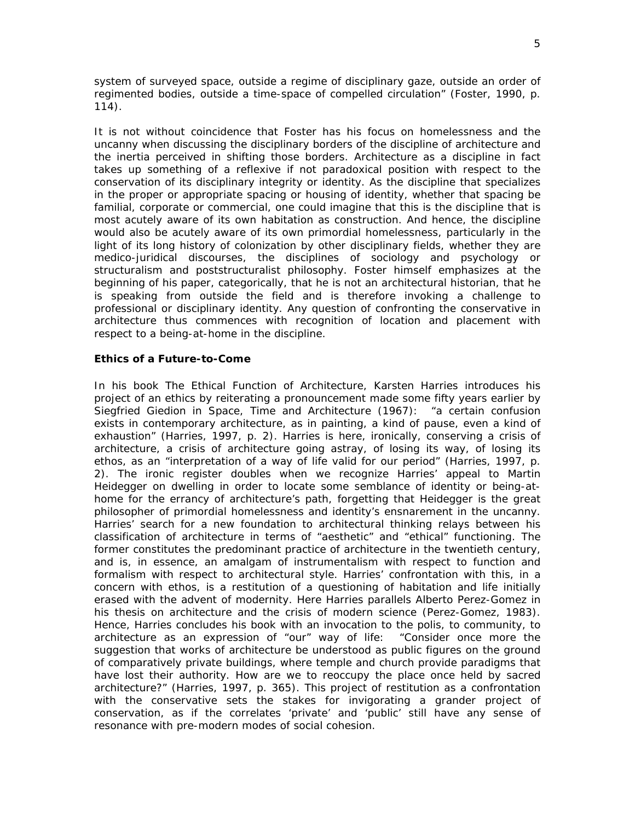system of surveyed space, outside a regime of disciplinary gaze, outside an order of regimented bodies, outside a time-space of compelled circulation" (Foster, 1990, p. 114).

It is not without coincidence that Foster has his focus on homelessness and the uncanny when discussing the disciplinary borders of the discipline of architecture and the inertia perceived in shifting those borders. Architecture as a discipline in fact takes up something of a reflexive if not paradoxical position with respect to the conservation of its disciplinary integrity or identity. As the discipline that specializes in the proper or appropriate spacing or housing of identity, whether that spacing be familial, corporate or commercial, one could imagine that this is the discipline that is most acutely aware of its own habitation as construction. And hence, the discipline would also be acutely aware of its own primordial homelessness, particularly in the light of its long history of colonization by other disciplinary fields, whether they are medico-juridical discourses, the disciplines of sociology and psychology or structuralism and poststructuralist philosophy. Foster himself emphasizes at the beginning of his paper, categorically, that he is not an architectural historian, that he is speaking from outside the field and is therefore invoking a challenge to professional or disciplinary identity. Any question of confronting the conservative in architecture thus commences with recognition of location and placement with respect to a being-at-home in the discipline.

## **Ethics of a Future-to-Come**

In his book *The Ethical Function of Architecture*, Karsten Harries introduces his project of an ethics by reiterating a pronouncement made some fifty years earlier by Siegfried Giedion in *Space, Time and Architecture* (1967): "a certain confusion exists in contemporary architecture, as in painting, a kind of pause, even a kind of exhaustion" (Harries, 1997, p. 2). Harries is here, ironically, conserving a crisis of architecture, a crisis of architecture going astray, of losing its way, of losing its ethos, as an "interpretation of a way of life valid for our period" (Harries, 1997, p. 2). The ironic register doubles when we recognize Harries' appeal to Martin Heidegger on dwelling in order to locate some semblance of identity or being-athome for the errancy of architecture's path, forgetting that Heidegger is the great philosopher of primordial homelessness and identity's ensnarement in the uncanny. Harries' search for a new foundation to architectural thinking relays between his classification of architecture in terms of "aesthetic" and "ethical" functioning. The former constitutes the predominant practice of architecture in the twentieth century, and is, in essence, an amalgam of instrumentalism with respect to function and formalism with respect to architectural style. Harries' confrontation with this, in a concern with ethos, is a restitution of a questioning of habitation and life initially erased with the advent of modernity. Here Harries parallels Alberto Perez-Gomez in his thesis on architecture and the crisis of modern science (Perez-Gomez, 1983). Hence, Harries concludes his book with an invocation to the *polis*, to community, to architecture as an expression of "our" way of life: "Consider once more the suggestion that works of architecture be understood as public figures on the ground of comparatively private buildings, where temple and church provide paradigms that have lost their authority. How are we to reoccupy the place once held by sacred architecture?" (Harries, 1997, p. 365). This project of restitution as a confrontation with the conservative sets the stakes for invigorating a grander project of conservation, as if the correlates 'private' and 'public' still have any sense of resonance with pre-modern modes of social cohesion.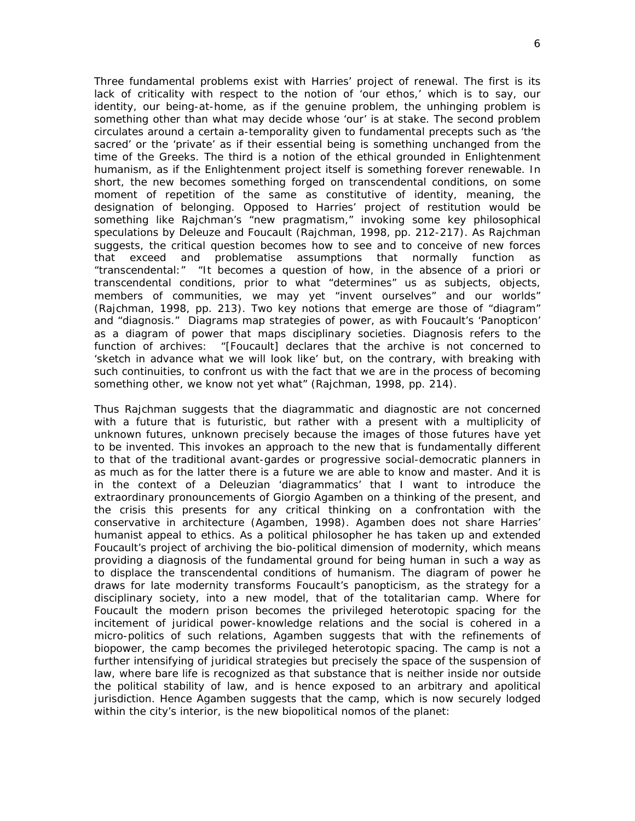Three fundamental problems exist with Harries' project of renewal. The first is its lack of criticality with respect to the notion of 'our ethos,' which is to say, our identity, our being-at-home, as if the genuine problem, the unhinging problem is something other than what may decide whose 'our' is at stake. The second problem circulates around a certain a-temporality given to fundamental precepts such as 'the sacred' or the 'private' as if their essential being is something unchanged from the time of the Greeks. The third is a notion of the ethical grounded in Enlightenment humanism, as if the Enlightenment project itself is something forever renewable. In short, the new becomes something forged on transcendental conditions, on some moment of repetition of the same as constitutive of identity, meaning, the designation of belonging. Opposed to Harries' project of restitution would be something like Rajchman's "new pragmatism," invoking some key philosophical speculations by Deleuze and Foucault (Rajchman, 1998, pp. 212-217). As Rajchman suggests, the critical question becomes how to see and to conceive of new forces that exceed and problematise assumptions that normally function as "transcendental:" "It becomes a question of how, in the absence of a priori or transcendental conditions, prior to what "determines" us as subjects, objects, members of communities, we may yet "invent ourselves" and our worlds" (Rajchman, 1998, pp. 213). Two key notions that emerge are those of "diagram" and "diagnosis." Diagrams map strategies of power, as with Foucault's 'Panopticon' as a diagram of power that maps disciplinary societies. Diagnosis refers to the function of archives: "[Foucault] declares that the archive is not concerned to 'sketch in advance what we will look like' but, on the contrary, with breaking with such continuities, to confront us with the fact that we are in the process of becoming something other, we know not yet what" (Rajchman, 1998, pp. 214).

Thus Rajchman suggests that the diagrammatic and diagnostic are not concerned with a future that is futuristic, but rather with a present with a multiplicity of unknown futures, unknown precisely because the images of those futures have yet to be invented. This invokes an approach to the new that is fundamentally different to that of the traditional avant-gardes or progressive social-democratic planners in as much as for the latter there is a future we are able to know and master. And it is in the context of a Deleuzian 'diagrammatics' that I want to introduce the extraordinary pronouncements of Giorgio Agamben on a thinking of the present, and the crisis this presents for any critical thinking on a confrontation with the conservative in architecture (Agamben, 1998). Agamben does not share Harries' humanist appeal to ethics. As a political philosopher he has taken up and extended Foucault's project of archiving the bio-political dimension of modernity, which means providing a diagnosis of the fundamental ground for being human in such a way as to displace the transcendental conditions of humanism. The diagram of power he draws for late modernity transforms Foucault's panopticism, as the strategy for a disciplinary society, into a new model, that of the totalitarian camp. Where for Foucault the modern prison becomes the privileged heterotopic spacing for the incitement of juridical power-knowledge relations and the social is cohered in a micro-politics of such relations, Agamben suggests that with the refinements of biopower, the camp becomes the privileged heterotopic spacing. The camp is not a further intensifying of juridical strategies but precisely the space of the suspension of law, where bare life is recognized as that substance that is neither inside nor outside the political stability of law, and is hence exposed to an arbitrary and apolitical jurisdiction. Hence Agamben suggests that the camp, which is now securely lodged within the city's interior, is the new biopolitical *nomos* of the planet: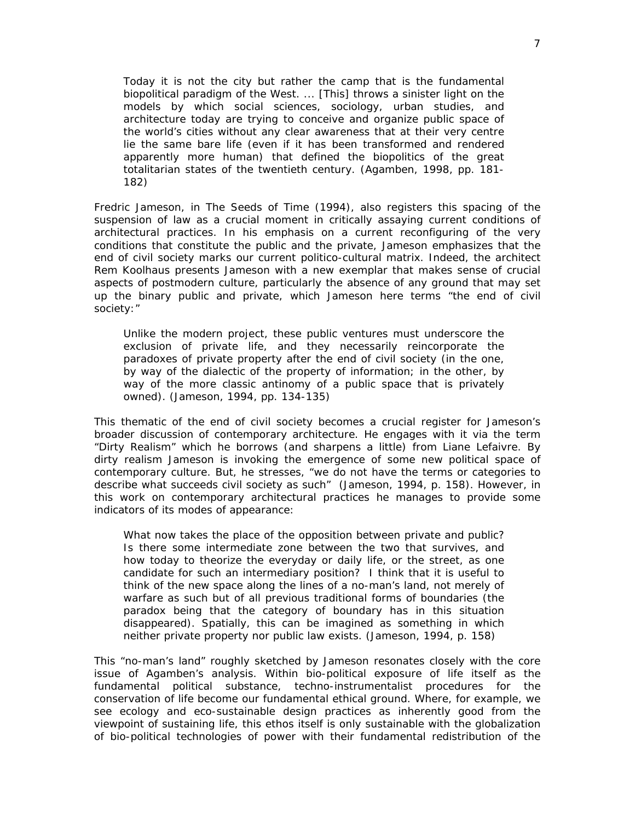Today it is not the city but rather the camp that is the fundamental biopolitical paradigm of the West. ... [This] throws a sinister light on the models by which social sciences, sociology, urban studies, and architecture today are trying to conceive and organize public space of the world's cities without any clear awareness that at their very centre lie the same bare life (even if it has been transformed and rendered apparently more human) that defined the biopolitics of the great totalitarian states of the twentieth century. (Agamben, 1998, pp. 181- 182)

Fredric Jameson, in *The Seeds of Time* (1994), also registers this spacing of the suspension of law as a crucial moment in critically assaying current conditions of architectural practices. In his emphasis on a current reconfiguring of the very conditions that constitute the public and the private, Jameson emphasizes that the end of civil society marks our current politico-cultural matrix. Indeed, the architect Rem Koolhaus presents Jameson with a new exemplar that makes sense of crucial aspects of postmodern culture, particularly the absence of any ground that may set up the binary public and private, which Jameson here terms "the end of civil society:"

Unlike the modern project, these public ventures must underscore the exclusion of private life, and they necessarily reincorporate the paradoxes of private property after the end of civil society (in the one, by way of the dialectic of the property of information; in the other, by way of the more classic antinomy of a public space that is privately owned). (Jameson, 1994, pp. 134-135)

This thematic of the end of civil society becomes a crucial register for Jameson's broader discussion of contemporary architecture. He engages with it via the term "Dirty Realism" which he borrows (and sharpens a little) from Liane Lefaivre. By dirty realism Jameson is invoking the emergence of some new political space of contemporary culture. But, he stresses, "we do not have the terms or categories to describe what succeeds civil society as such" (Jameson, 1994, p. 158). However, in this work on contemporary architectural practices he manages to provide some indicators of its modes of appearance:

What now takes the place of the opposition between private and public? Is there some intermediate zone between the two that survives, and how today to theorize the everyday or daily life, or the street, as one candidate for such an intermediary position? I think that it is useful to think of the new space along the lines of a no-man's land, not merely of warfare as such but of all previous traditional forms of boundaries (the paradox being that the category of boundary has in this situation disappeared). Spatially, this can be imagined as something in which neither private property nor public law exists. (Jameson, 1994, p. 158)

This "no-man's land" roughly sketched by Jameson resonates closely with the core issue of Agamben's analysis. Within bio-political exposure of life itself as the fundamental political substance, techno-instrumentalist procedures for the conservation of life become our fundamental ethical ground. Where, for example, we see ecology and eco-sustainable design practices as inherently good from the viewpoint of sustaining life, this ethos itself is only sustainable with the globalization of bio-political technologies of power with their fundamental redistribution of the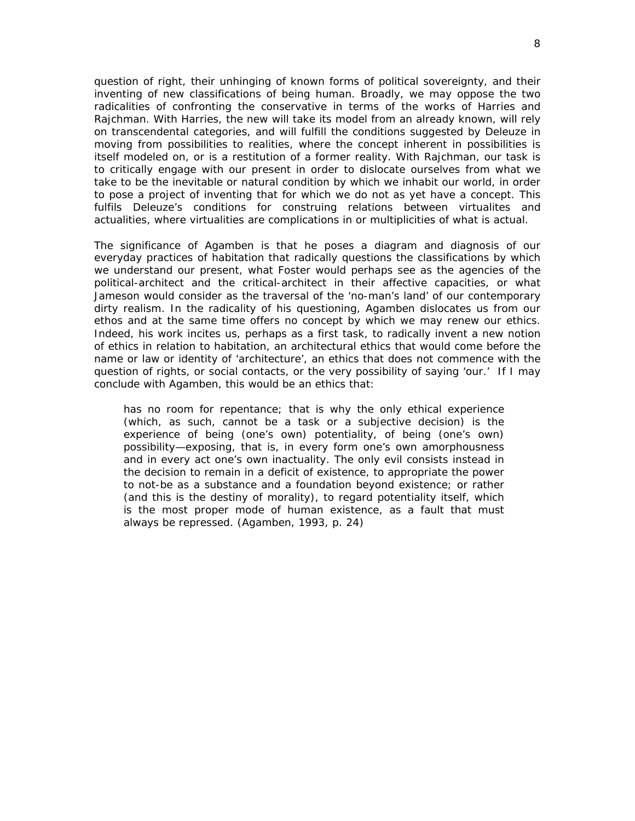question of right, their unhinging of known forms of political sovereignty, and their inventing of new classifications of being human. Broadly, we may oppose the two radicalities of confronting the conservative in terms of the works of Harries and Rajchman. With Harries, the new will take its model from an already known, will rely on transcendental categories, and will fulfill the conditions suggested by Deleuze in moving from possibilities to realities, where the concept inherent in possibilities is itself modeled on, or is a restitution of a former reality. With Rajchman, our task is to critically engage with our present in order to dislocate ourselves from what we take to be the inevitable or natural condition by which we inhabit our world, in order to pose a project of inventing that for which we do not as yet have a concept. This fulfils Deleuze's conditions for construing relations between virtualites and actualities, where virtualities are complications in or multiplicities of what is actual.

The significance of Agamben is that he poses a diagram and diagnosis of our everyday practices of habitation that radically questions the classifications by which we understand our present, what Foster would perhaps see as the agencies of the political-architect and the critical-architect in their affective capacities, or what Jameson would consider as the traversal of the 'no-man's land' of our contemporary dirty realism. In the radicality of his questioning, Agamben dislocates us from our ethos and at the same time offers no concept by which we may renew our ethics. Indeed, his work incites us, perhaps as a first task, to radically invent a new notion of ethics in relation to habitation, an architectural ethics that would come before the name or law or identity of 'architecture', an ethics that does not commence with the question of rights, or social contacts, or the very possibility of saying 'our.' If I may conclude with Agamben, this would be an ethics that:

has no room for repentance; that is why the only ethical experience (which, as such, cannot be a task or a subjective decision) is the experience of being (one's own) potentiality, of being (one's own) possibility—exposing, that is, in every form one's own amorphousness and in every act one's own inactuality. The only evil consists instead in the decision to remain in a deficit of existence, to appropriate the power to not-be as a substance and a foundation beyond existence; or rather (and this is the destiny of morality), to regard potentiality itself, which is the most proper mode of human existence, as a fault that must always be repressed. (Agamben, 1993, p. 24)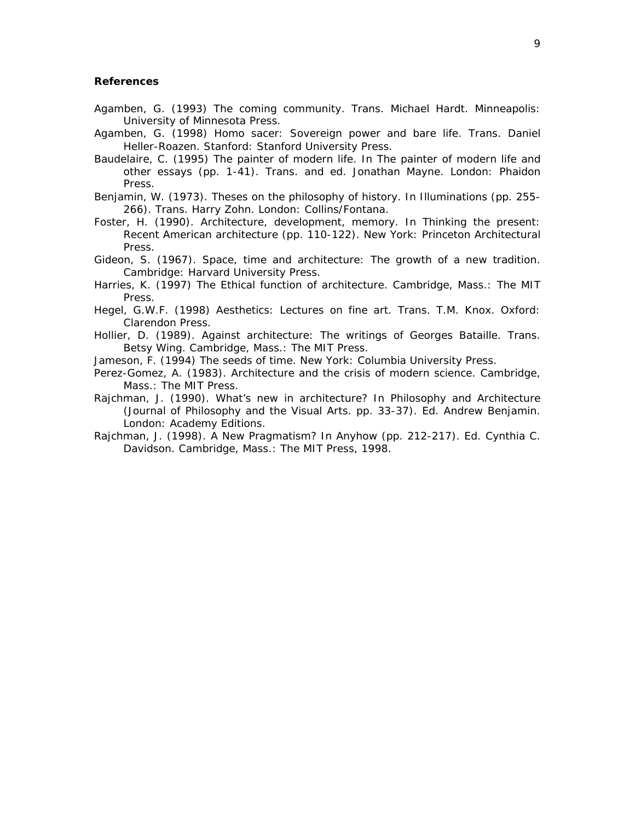## **References**

- Agamben, G. (1993) *The coming community*. Trans. Michael Hardt. Minneapolis: University of Minnesota Press.
- Agamben*,* G. (1998) *Homo sacer: Sovereign power and bare life*. Trans. Daniel Heller-Roazen. Stanford: Stanford University Press.
- Baudelaire, C. (1995) The painter of modern life. In *The painter of modern life and other essays* (pp. 1-41). Trans. and ed. Jonathan Mayne. London: Phaidon Press.
- Benjamin, W. (1973). Theses on the philosophy of history. In *Illuminations* (pp. 255- 266). Trans. Harry Zohn. London: Collins/Fontana.
- Foster, H. (1990). Architecture, development, memory. In *Thinking the present: Recent American architecture* (pp. 110-122). New York: Princeton Architectural Press.
- Gideon, S. (1967). *Space, time and architecture: The growth of a new tradition*. Cambridge: Harvard University Press.
- Harries, K. (1997) *The Ethical function of architecture*. Cambridge, Mass.: The MIT Press.
- Hegel, G.W.F. (1998) Aesthetics: Lectures on fine art. Trans. T.M. Knox. Oxford: Clarendon Press.
- Hollier, D. (1989). *Against architecture: The writings of Georges Bataille*. Trans. Betsy Wing. Cambridge, Mass.: The MIT Press.
- Jameson, F. (1994) *The seeds of time*. New York: Columbia University Press.
- Perez-Gomez, A. (1983). *Architecture and the crisis of modern science*. Cambridge, Mass.: The MIT Press.
- Rajchman, J. (1990). What's new in architecture? In *Philosophy and Architecture*  (*Journal of Philosophy and the Visual Art*s. pp. 33-37). Ed. Andrew Benjamin. London: Academy Editions.
- Rajchman, J. (1998). A New Pragmatism? In *Anyhow* (pp. 212-217). Ed. Cynthia C. Davidson. Cambridge, Mass.: The MIT Press, 1998.